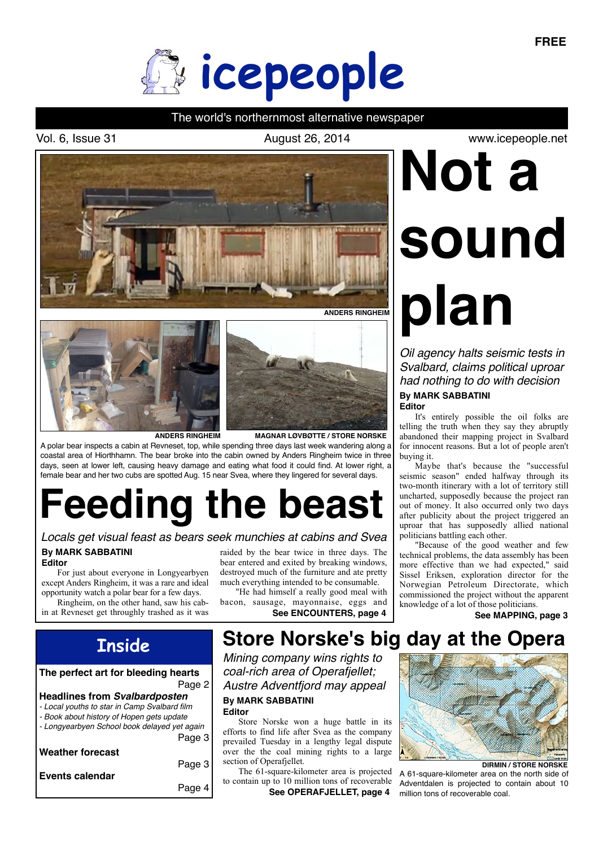www.icepeople.net



## The world's northernmost alternative newspaper

Vol. 6, Issue 31 **August 26, 2014** 







**ANDERS RINGHEIM MAGNAR LØVBØTTE / STORE NORSKE**

A polar bear inspects a cabin at Revneset, top, while spending three days last week wandering along a coastal area of Hiorthhamn. The bear broke into the cabin owned by Anders Ringheim twice in three days, seen at lower left, causing heavy damage and eating what food it could find. At lower right, a female bear and her two cubs are spotted Aug. 15 near Svea, where they lingered for several days.

# **Feeding the beast**

## *Locals get visual feast as bears seek munchies at cabins and Svea*

#### **By MARK SABBATINI Editor**

For just about everyone in Longyearbyen except Anders Ringheim, it was a rare and ideal opportunity watch a polar bear for a few days.

Ringheim, on the other hand, saw his cabin at Revneset get throughly trashed as it was

raided by the bear twice in three days. The bear entered and exited by breaking windows, destroyed much of the furniture and ate pretty much everything intended to be consumable.

"He had himself a really good meal with bacon, sausage, mayonnaise, eggs and

See ENCOUNTERS, page 4 **See MAPPING, page 3** 

# **Not a sound plan**

*Oil agency halts seismic tests in Svalbard, claims political uproar had nothing to do with decision*

#### **By MARK SABBATINI Editor**

It's entirely possible the oil folks are telling the truth when they say they abruptly abandoned their mapping project in Svalbard for innocent reasons. But a lot of people aren't buying it.

Maybe that's because the "successful seismic season" ended halfway through its two-month itinerary with a lot of territory still uncharted, supposedly because the project ran out of money. It also occurred only two days after publicity about the project triggered an uproar that has supposedly allied national politicians battling each other.

"Because of the good weather and few technical problems, the data assembly has been more effective than we had expected," said Sissel Eriksen, exploration director for the Norwegian Petroleum Directorate, which commissioned the project without the apparent knowledge of a lot of those politicians.

# **Inside**

**The perfect art for bleeding hearts** Page 2

## **Headlines from** *Svalbardposten*

- *Local youths to star in Camp Svalbard film*
- *Book about history of Hopen gets update*
- *Longyearbyen School book delayed yet again*

|                        | Page 3 |
|------------------------|--------|
| Weather forecast       |        |
|                        | Page 3 |
| <b>Events calendar</b> |        |
|                        | Page 4 |

**Store Norske's big day at the Opera**

*Mining company wins rights to coal-rich area of Operafjellet; Austre Adventfjord may appeal* **By MARK SABBATINI**

**Editor**

Store Norske won a huge battle in its efforts to find life after Svea as the company prevailed Tuesday in a lengthy legal dispute over the the coal mining rights to a large section of Operafjellet.

The 61-square-kilometer area is projected to contain up to 10 million tons of recoverable

**See OPERAFJELLET, page 4**



A 61-square-kilometer area on the north side of Adventdalen is projected to contain about 10 million tons of recoverable coal. **DIRMIN / STORE NORSKE**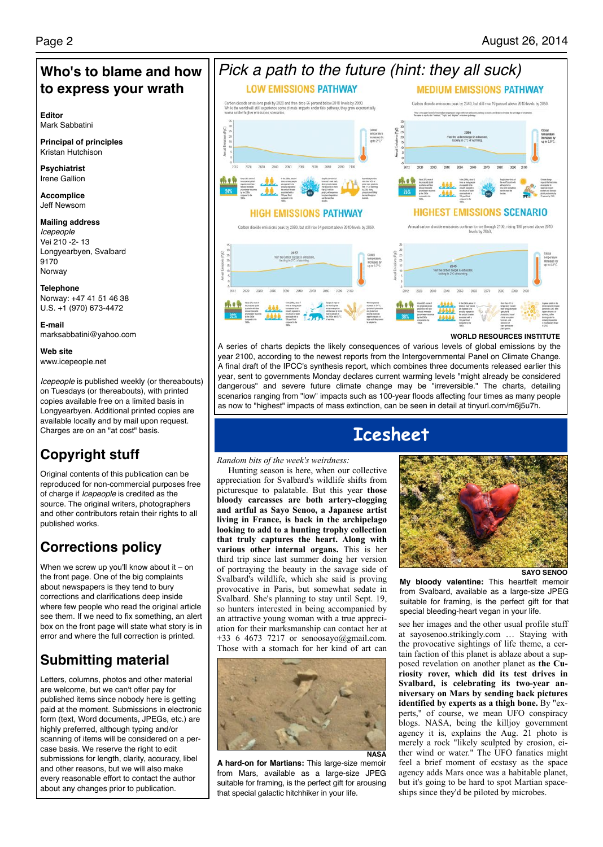## **Who's to blame and how to express your wrath Editor** Mark Sabbatini **Principal of principles** Kristan Hutchison

**Psychiatrist** Irene Gallion

**Accomplice** Jeff Newsom

Norway

#### **Mailing address** *Icepeople* Vei 210 -2- 13 Longyearbyen, Svalbard 9170

**Telephone** Norway: +47 41 51 46 38 U.S. +1 (970) 673-4472

**E-mail** marksabbatini@yahoo.com

**Web site** www.icepeople.net

*Icepeople* is published weekly (or thereabouts) on Tuesdays (or thereabouts), with printed copies available free on a limited basis in Longyearbyen. Additional printed copies are available locally and by mail upon request. Charges are on an "at cost" basis.

# **Copyright stuff**

Original contents of this publication can be reproduced for non-commercial purposes free of charge if *Icepeople* is credited as the source. The original writers, photographers and other contributors retain their rights to all published works.

# **Corrections policy**

When we screw up you'll know about it  $-$  on the front page. One of the big complaints about newspapers is they tend to bury corrections and clarifications deep inside where few people who read the original article see them. If we need to fix something, an alert box on the front page will state what story is in error and where the full correction is printed.

## **Submitting material**

Letters, columns, photos and other material are welcome, but we can't offer pay for published items since nobody here is getting paid at the moment. Submissions in electronic form (text, Word documents, JPEGs, etc.) are highly preferred, although typing and/or scanning of items will be considered on a percase basis. We reserve the right to edit submissions for length, clarity, accuracy, libel and other reasons, but we will also make every reasonable effort to contact the author about any changes prior to publication.



#### **WORLD RESOURCES INSTITUTE**

A series of charts depicts the likely consequences of various levels of global emissions by the year 2100, according to the newest reports from the Intergovernmental Panel on Climate Change. A final draft of the IPCC's synthesis report, which combines three documents released earlier this year, sent to governments Monday declares current warming levels "might already be considered dangerous" and severe future climate change may be "irreversible." The charts, detailing scenarios ranging from "low" impacts such as 100-year floods affecting four times as many people as now to "highest" impacts of mass extinction, can be seen in detail at tinyurl.com/m6j5u7h.

# **Icesheet**

### *Random bits of the week's weirdness:*

Hunting season is here, when our collective appreciation for Svalbard's wildlife shifts from picturesque to palatable. But this year **those bloody carcasses are both artery-clogging and artful as Sayo Senoo, a Japanese artist living in France, is back in the archipelago looking to add to a hunting trophy collection that truly captures the heart. Along with various other internal organs.** This is her third trip since last summer doing her version of portraying the beauty in the savage side of Svalbard's wildlife, which she said is proving provocative in Paris, but somewhat sedate in Svalbard. She's planning to stay until Sept. 19, so hunters interested in being accompanied by an attractive young woman with a true appreciation for their marksmanship can contact her at +33 6 4673 7217 or senoosayo@gmail.com. Those with a stomach for her kind of art can



**A hard-on for Martians:** This large-size memoir from Mars, available as a large-size JPEG suitable for framing, is the perfect gift for arousing that special galactic hitchhiker in your life.



**SAYO SENOO**

**My bloody valentine:** This heartfelt memoir from Svalbard, available as a large-size JPEG suitable for framing, is the perfect gift for that special bleeding-heart vegan in your life.

see her images and the other usual profile stuff at sayosenoo.strikingly.com … Staying with the provocative sightings of life theme, a certain faction of this planet is ablaze about a supposed revelation on another planet as **the Curiosity rover, which did its test drives in Svalbard, is celebrating its two-year anniversary on Mars by sending back pictures identified by experts as a thigh bone.** By "experts," of course, we mean UFO conspiracy blogs. NASA, being the killjoy government agency it is, explains the Aug. 21 photo is merely a rock "likely sculpted by erosion, either wind or water." The UFO fanatics might feel a brief moment of ecstasy as the space agency adds Mars once was a habitable planet, but it's going to be hard to spot Martian spaceships since they'd be piloted by microbes.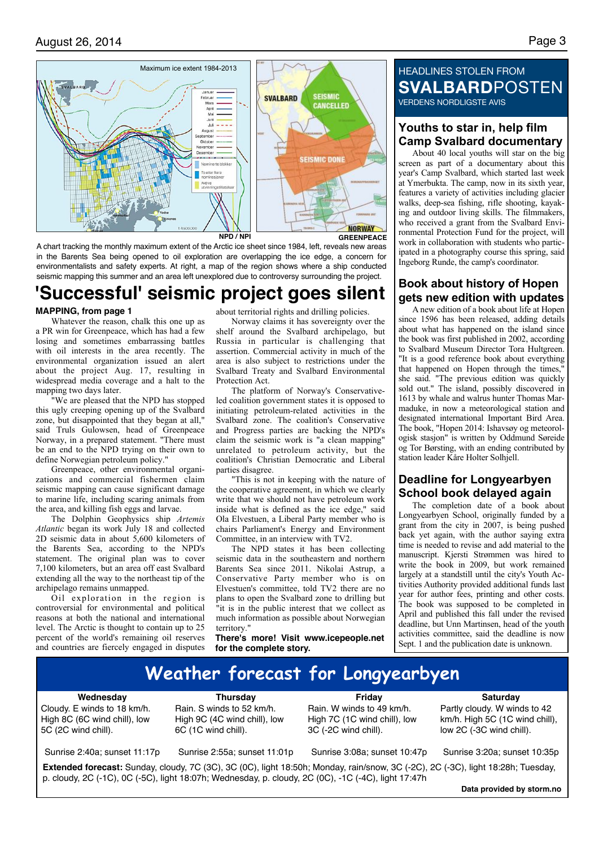

A chart tracking the monthly maximum extent of the Arctic ice sheet since 1984, left, reveals new areas in the Barents Sea being opened to oil exploration are overlapping the ice edge, a concern for environmentalists and safety experts. At right, a map of the region shows where a ship conducted seismic mapping this summer and an area left unexplored due to controversy surrounding the project.

# **'Successful' seismic project goes silent**

#### **MAPPING, from page 1**

Whatever the reason, chalk this one up as a PR win for Greenpeace, which has had a few losing and sometimes embarrassing battles with oil interests in the area recently. The environmental organization issued an alert about the project Aug. 17, resulting in widespread media coverage and a halt to the mapping two days later.

"We are pleased that the NPD has stopped this ugly creeping opening up of the Svalbard zone, but disappointed that they began at all," said Truls Gulowsen, head of Greenpeace Norway, in a prepared statement. "There must be an end to the NPD trying on their own to define Norwegian petroleum policy."

Greenpeace, other environmental organizations and commercial fishermen claim seismic mapping can cause significant damage to marine life, including scaring animals from the area, and killing fish eggs and larvae.

The Dolphin Geophysics ship *Artemis Atlantic* began its work July 18 and collected 2D seismic data in about 5,600 kilometers of the Barents Sea, according to the NPD's statement. The original plan was to cover 7,100 kilometers, but an area off east Svalbard extending all the way to the northeast tip of the archipelago remains unmapped.

Oil exploration in the region is controversial for environmental and political reasons at both the national and international level. The Arctic is thought to contain up to 25 percent of the world's remaining oil reserves and countries are fiercely engaged in disputes about territorial rights and drilling policies.

Norway claims it has sovereignty over the shelf around the Svalbard archipelago, but Russia in particular is challenging that assertion. Commercial activity in much of the area is also subject to restrictions under the Svalbard Treaty and Svalbard Environmental Protection Act.

The platform of Norway's Conservativeled coalition government states it is opposed to initiating petroleum-related activities in the Svalbard zone. The coalition's Conservative and Progress parties are backing the NPD's claim the seismic work is "a clean mapping" unrelated to petroleum activity, but the coalition's Christian Democratic and Liberal parties disagree.

"This is not in keeping with the nature of the cooperative agreement, in which we clearly write that we should not have petroleum work inside what is defined as the ice edge," said Ola Elvestuen, a Liberal Party member who is chairs Parliament's Energy and Environment Committee, in an interview with TV2.

The NPD states it has been collecting seismic data in the southeastern and northern Barents Sea since 2011. Nikolai Astrup, a Conservative Party member who is on Elvestuen's committee, told TV2 there are no plans to open the Svalbard zone to drilling but "it is in the public interest that we collect as much information as possible about Norwegian territory."

**There's more! Visit www.icepeople.net for the complete story.**

## HEADLINES STOLEN FROM **SVALBARD**POSTEN VERDENS NORDLIGSTE AVIS

## **Youths to star in, help film Camp Svalbard documentary**

About 40 local youths will star on the big screen as part of a documentary about this year's Camp Svalbard, which started last week at Ymerbukta. The camp, now in its sixth year, features a variety of activities including glacier walks, deep-sea fishing, rifle shooting, kayaking and outdoor living skills. The filmmakers, who received a grant from the Svalbard Environmental Protection Fund for the project, will work in collaboration with students who participated in a photography course this spring, said Ingeborg Runde, the camp's coordinator.

## **Book about history of Hopen gets new edition with updates**

A new edition of a book about life at Hopen since 1596 has been released, adding details about what has happened on the island since the book was first published in 2002, according to Svalbard Museum Director Tora Hultgreen. "It is a good reference book about everything that happened on Hopen through the times, she said. "The previous edition was quickly sold out." The island, possibly discovered in 1613 by whale and walrus hunter Thomas Marmaduke, in now a meteorological station and designated international Important Bird Area. The book, "Hopen 2014: Ishavsøy og meteorologisk stasjon" is written by Oddmund Søreide og Tor Børsting, with an ending contributed by station leader Kåre Holter Solhjell.

## **Deadline for Longyearbyen School book delayed again**

The completion date of a book about Longyearbyen School, originally funded by a grant from the city in 2007, is being pushed back yet again, with the author saying extra time is needed to revise and add material to the manuscript. Kjersti Strømmen was hired to write the book in 2009, but work remained largely at a standstill until the city's Youth Activities Authority provided additional funds last year for author fees, printing and other costs. The book was supposed to be completed in April and published this fall under the revised deadline, but Unn Martinsen, head of the youth activities committee, said the deadline is now Sept. 1 and the publication date is unknown.

# **Weather forecast for Longyearbyen**

**Wednesday** Cloudy. E winds to 18 km/h. High 8C (6C wind chill), low 5C (2C wind chill).

**Thursday** Rain. S winds to 52 km/h.

High 9C (4C wind chill), low

6C (1C wind chill).

**Friday**

Rain. W winds to 49 km/h. High 7C (1C wind chill), low 3C (-2C wind chill).

Partly cloudy. W winds to 42 km/h. High 5C (1C wind chill), low 2C (-3C wind chill).

**Saturday**

Sunrise 2:40a; sunset 11:17p

Sunrise 2:55a; sunset 11:01p

Sunrise 3:08a; sunset 10:47p

Sunrise 3:20a; sunset 10:35p

**Extended forecast:** Sunday, cloudy, 7C (3C), 3C (0C), light 18:50h; Monday, rain/snow, 3C (-2C), 2C (-3C), light 18:28h; Tuesday, p. cloudy, 2C (-1C), 0C (-5C), light 18:07h; Wednesday, p. cloudy, 2C (0C), -1C (-4C), light 17:47h

**Data provided by storm.no**